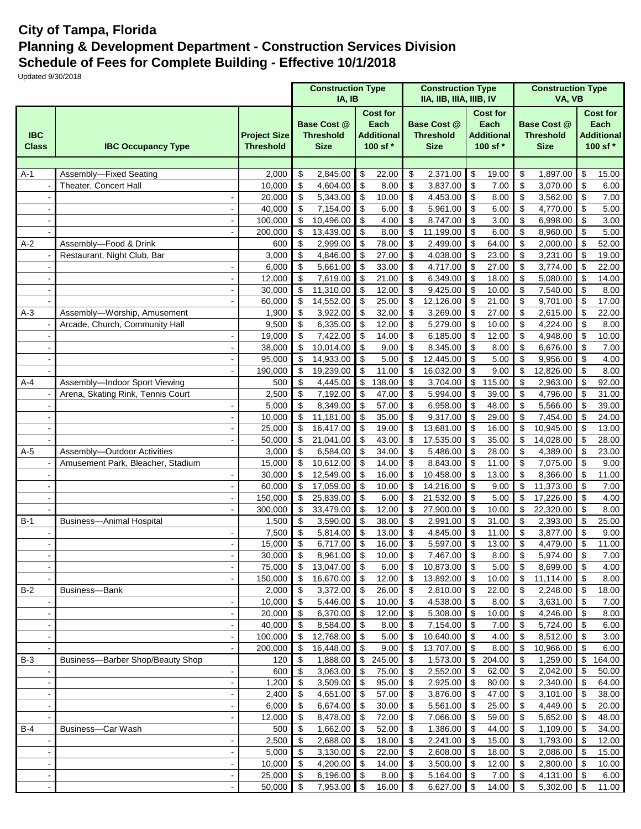## **City of Tampa, Florida Planning & Development Department - Construction Services Division Schedule of Fees for Complete Building - Effective 10/1/2018**

Updated 9/30/2018

|                            |                                                                      |                    | <b>Construction Type</b><br>IA, IB |                                                                                                                   |                                 |                |                                                       | <b>Construction Type</b><br>IIA, IIB, IIIA, IIIB, IV |                                 |                                                          |                         | <b>Construction Type</b><br>VA, VB                    |                          |                                                          |
|----------------------------|----------------------------------------------------------------------|--------------------|------------------------------------|-------------------------------------------------------------------------------------------------------------------|---------------------------------|----------------|-------------------------------------------------------|------------------------------------------------------|---------------------------------|----------------------------------------------------------|-------------------------|-------------------------------------------------------|--------------------------|----------------------------------------------------------|
| <b>IBC</b><br><b>Class</b> | <b>Project Size</b><br><b>Threshold</b><br><b>IBC Occupancy Type</b> |                    |                                    | <b>Cost for</b><br>Each<br><b>Base Cost @</b><br><b>Threshold</b><br><b>Additional</b><br><b>Size</b><br>100 sf * |                                 |                | <b>Base Cost @</b><br><b>Threshold</b><br><b>Size</b> |                                                      |                                 | <b>Cost for</b><br>Each<br><b>Additional</b><br>100 sf * |                         | <b>Base Cost @</b><br><b>Threshold</b><br><b>Size</b> |                          | <b>Cost for</b><br>Each<br><b>Additional</b><br>100 sf * |
|                            |                                                                      |                    |                                    |                                                                                                                   |                                 |                |                                                       |                                                      |                                 |                                                          |                         |                                                       |                          |                                                          |
| $A-1$                      | Assembly-Fixed Seating                                               | 2,000              | \$                                 | 2,845.00                                                                                                          | \$                              | 22.00          | \$                                                    | 2,371.00                                             | \$                              | 19.00                                                    | \$                      | 1,897.00                                              | \$                       | 15.00                                                    |
|                            | Theater, Concert Hall                                                | 10,000             | \$                                 | 4,604.00                                                                                                          | \$                              | 8.00           | $\boldsymbol{\mathsf{S}}$                             | 3,837.00                                             | \$                              | 7.00                                                     | \$                      | 3,070.00                                              | \$                       | 6.00                                                     |
|                            |                                                                      | 20,000             | \$                                 | 5,343.00                                                                                                          | \$                              | 10.00          | \$                                                    | 4,453.00                                             | \$                              | 8.00                                                     | \$                      | 3,562.00                                              | \$                       | 7.00                                                     |
|                            |                                                                      | 40.000             | \$                                 | 7,154.00                                                                                                          | $\sqrt[6]{\frac{1}{2}}$         | 6.00           | $\sqrt[6]{\frac{1}{2}}$                               | 5,961.00                                             | \$                              | 6.00                                                     | \$                      | 4,770.00                                              | \$                       | 5.00                                                     |
|                            |                                                                      | 100,000<br>200,000 | \$<br>\$                           | 10,496.00<br>13,439.00                                                                                            | $\boldsymbol{\mathsf{S}}$<br>\$ | 4.00<br>8.00   | $\boldsymbol{\mathsf{S}}$<br>\$                       | 8,747.00<br>11,199.00                                | \$<br>$\boldsymbol{\mathsf{S}}$ | 3.00<br>6.00                                             | \$<br>\$                | 6,998.00<br>8,960.00                                  | \$<br>\$                 | 3.00<br>5.00                                             |
| $A-2$                      | ÷,<br>Assembly-Food & Drink                                          | 600                | \$                                 | 2,999.00                                                                                                          | \$                              | 78.00          | \$                                                    | 2,499.00                                             | \$                              | 64.00                                                    | \$                      | 2,000.00                                              | \$                       | $\overline{5}2.00$                                       |
|                            | Restaurant, Night Club, Bar                                          | 3,000              | \$                                 | 4,846.00                                                                                                          | \$                              | 27.00          | \$                                                    | 4,038.00                                             | \$                              | 23.00                                                    | \$                      | 3,231.00                                              | \$                       | 19.00                                                    |
|                            |                                                                      | 6,000              | \$                                 | 5,661.00                                                                                                          | \$                              | 33.00          | \$                                                    | 4,717.00                                             | \$                              | 27.00                                                    | \$                      | 3,774.00                                              | \$                       | 22.00                                                    |
|                            |                                                                      | 12,000             | \$                                 | 7,619.00                                                                                                          | \$                              | 21.00          | $\boldsymbol{\mathsf{S}}$                             | 6,349.00                                             | $\boldsymbol{\mathsf{S}}$       | 18.00                                                    | \$                      | 5,080.00                                              | \$                       | 14.00                                                    |
|                            |                                                                      | 30,000             | $\sqrt[6]{\frac{1}{2}}$            | 11,310.00                                                                                                         | \$                              | 12.00          | \$                                                    | 9,425.00                                             | \$                              | 10.00                                                    | \$                      | 7,540.00                                              | \$                       | 8.00                                                     |
|                            |                                                                      | 60,000             | \$                                 | 14,552.00                                                                                                         | $\mathfrak{S}$                  | 25.00          | \$                                                    | 12,126.00                                            | $\boldsymbol{\mathsf{S}}$       | 21.00                                                    | \$                      | 9,701.00                                              | \$                       | 17.00                                                    |
| $A-3$                      | Assembly-Worship, Amusement                                          | 1,900              | \$                                 | 3,922.00                                                                                                          | \$                              | 32.00          | \$                                                    | 3,269.00                                             | \$                              | 27.00                                                    | \$                      | 2,615.00                                              | \$                       | 22.00                                                    |
|                            | Arcade, Church, Community Hall                                       | 9,500              | \$                                 | 6,335.00                                                                                                          | \$                              | 12.00          | \$                                                    | 5,279.00                                             | \$                              | 10.00                                                    | \$                      | 4,224.00                                              | \$                       | 8.00                                                     |
|                            |                                                                      | 19,000             | \$                                 | 7,422.00                                                                                                          | \$                              | 14.00          | \$                                                    | 6,185.00                                             | \$                              | 12.00                                                    | \$                      | 4,948.00                                              | \$                       | 10.00                                                    |
|                            |                                                                      | 38,000             | \$                                 | 10,014.00                                                                                                         | \$                              | 9.00           | \$                                                    | 8,345.00                                             | \$                              | 8.00                                                     | \$                      | 6,676.00                                              | \$                       | 7.00                                                     |
|                            |                                                                      | 95,000             | \$                                 | 14,933.00                                                                                                         | $\mathfrak{L}$                  | 5.00           | \$                                                    | 12,445.00                                            | \$                              | 5.00                                                     | \$                      | 9,956.00                                              | \$                       | 4.00                                                     |
|                            | $\overline{\phantom{a}}$                                             | 190,000            | \$                                 | 19,239.00                                                                                                         | \$                              | 11.00          | \$                                                    | 16,032.00                                            | \$                              | 9.00                                                     | \$                      | 12,826.00                                             | \$                       | 8.00                                                     |
| $A-4$                      | Assembly-Indoor Sport Viewing                                        | 500                | \$                                 | 4,445.00                                                                                                          | \$                              | 138.00         | \$                                                    | 3,704.00                                             | \$                              | 115.00                                                   | \$                      | 2,963.00                                              | \$                       | 92.00                                                    |
|                            | Arena, Skating Rink, Tennis Court                                    | 2,500              | \$                                 | 7,192.00                                                                                                          | $\sqrt{3}$                      | 47.00          | \$                                                    | 5,994.00                                             | \$                              | 39.00                                                    | \$                      | 4,796.00                                              | \$                       | 31.00                                                    |
|                            |                                                                      | 5,000              | \$                                 | 8,349.00                                                                                                          | \$                              | 57.00          | \$                                                    | 6,958.00                                             | \$                              | 48.00                                                    | \$                      | 5,566.00                                              | \$                       | 39.00                                                    |
|                            |                                                                      | 10,000             | \$                                 | 11,181.00                                                                                                         | \$                              | 35.00          | \$                                                    | 9,317.00                                             | \$                              | 29.00                                                    | \$                      | 7,454.00                                              | \$                       | 24.00                                                    |
|                            |                                                                      | 25,000             | \$                                 | 16,417.00                                                                                                         | $\mathcal{S}$                   | 19.00          | $\sqrt[6]{\frac{1}{2}}$                               | 13,681.00                                            | $\boldsymbol{\mathsf{S}}$       | 16.00                                                    | \$                      | 10,945.00                                             | \$                       | 13.00                                                    |
|                            |                                                                      | 50,000             | \$                                 | 21,041.00                                                                                                         | \$                              | 43.00          | \$                                                    | 17,535.00                                            | \$                              | 35.00                                                    | \$                      | 14,028.00                                             | \$                       | 28.00                                                    |
| $A-5$                      | Assembly-Outdoor Activities                                          | 3,000              | \$                                 | 6,584.00                                                                                                          | \$                              | 34.00          | \$                                                    | 5,486.00                                             | \$                              | 28.00                                                    | \$                      | 4,389.00                                              | \$                       | 23.00                                                    |
|                            | Amusement Park, Bleacher, Stadium                                    | 15,000             | \$                                 | 10,612.00                                                                                                         | \$                              | 14.00          | \$                                                    | 8,843.00                                             | \$                              | 11.00                                                    | \$<br>\$                | 7,075.00                                              | \$                       | 9.00                                                     |
|                            |                                                                      | 30,000             | \$                                 | 12,549.00                                                                                                         | \$<br>\$                        | 16.00          | \$<br>\$                                              | 10,458.00<br>14,216.00                               | \$                              | 13.00<br>9.00                                            | \$                      | 8,366.00                                              | \$<br>\$                 | 11.00                                                    |
|                            |                                                                      | 60,000<br>150,000  | \$<br>\$                           | 17,059.00<br>25,839.00                                                                                            | $\bullet$                       | 10.00<br>6.00  | $\boldsymbol{\mathsf{S}}$                             | 21,532.00                                            | \$<br>\$                        | 5.00                                                     | \$                      | 11,373.00<br>17,226.00                                | \$                       | 7.00<br>4.00                                             |
|                            | $\overline{a}$                                                       | 300,000            | \$                                 | 33,479.00                                                                                                         | $\mathfrak{L}$                  | 12.00          | \$                                                    | 27,900.00                                            | \$                              | 10.00                                                    | \$                      | 22,320.00                                             | \$                       | 8.00                                                     |
| $B-1$                      | <b>Business-Animal Hospital</b>                                      | 1,500              | \$                                 | 3,590.00                                                                                                          | \$                              | 38.00          | \$                                                    | 2,991.00                                             | \$                              | 31.00                                                    | \$                      | 2,393.00                                              | \$                       | 25.00                                                    |
|                            |                                                                      | 7,500              | \$                                 | 5,814.00                                                                                                          | \$                              | 13.00          | \$                                                    | 4,845.00                                             | \$                              | 11.00                                                    | \$                      | 3,877.00                                              | \$                       | 9.00                                                     |
|                            |                                                                      | 15,000             | $\boldsymbol{\$}$                  | 6,717.00                                                                                                          | \$                              | 16.00          | \$                                                    | 5,597.00                                             | \$                              | 13.00                                                    | \$                      | 4,479.00                                              | \$                       | 11.00                                                    |
|                            |                                                                      | 30,000             | $\overline{\$}$                    | 8,961.00                                                                                                          | $\sqrt{3}$                      | 10.00          | $\overline{\mathcal{L}}$                              | 7,467.00 \$                                          |                                 | 8.00                                                     | $\overline{\mathbf{3}}$ | 5,974.00                                              | $\overline{\mathcal{S}}$ | 7.00                                                     |
|                            |                                                                      | 75,000             | \$                                 | 13,047.00                                                                                                         | $\sqrt{3}$                      | 6.00           | \$                                                    | 10,873.00 \$                                         |                                 | 5.00                                                     | \$                      | 8,699.00                                              | \$                       | 4.00                                                     |
|                            | $\tilde{\phantom{a}}$                                                | 150,000            | \$                                 | 16,670.00                                                                                                         | $\sqrt{3}$                      | 12.00          | \$                                                    | 13,892.00                                            | $\sqrt{3}$                      | 10.00                                                    | \$                      | 11,114.00                                             | \$                       | 8.00                                                     |
| $B-2$                      | Business-Bank                                                        | 2,000              | $\boldsymbol{\mathsf{S}}$          | 3,372.00                                                                                                          | $\sqrt{ }$                      | 26.00          | $\sqrt[6]{\frac{1}{2}}$                               | 2,810.00                                             | $\sqrt{3}$                      | 22.00                                                    | \$                      | 2,248.00                                              | \$                       | 18.00                                                    |
|                            | $\overline{\phantom{a}}$                                             | 10,000             | $\boldsymbol{\mathsf{S}}$          | 5,446.00                                                                                                          | $\sqrt{3}$                      | 10.00          | \$                                                    | 4,538.00                                             | $\sqrt{3}$                      | 8.00                                                     | \$                      | 3,631.00                                              | \$                       | 7.00                                                     |
|                            | $\overline{\phantom{a}}$                                             | 20,000             | $\boldsymbol{\mathsf{S}}$          | 6,370.00                                                                                                          | $\sqrt{3}$                      | 12.00          | \$                                                    | $5,308.00$ \$                                        |                                 | 10.00                                                    | \$                      | 4,246.00                                              | \$                       | 8.00                                                     |
|                            | $\overline{\phantom{a}}$                                             | 40,000             | $\boldsymbol{\mathsf{S}}$          | 8,584.00                                                                                                          | $\sqrt{3}$                      | 8.00           | \$                                                    | 7,154.00                                             | \$                              | 7.00                                                     | \$                      | 5,724.00                                              | \$                       | 6.00                                                     |
|                            |                                                                      | 100,000            | \$                                 | 12,768.00                                                                                                         | $\sqrt{3}$                      | 5.00           | \$                                                    | 10,640.00                                            | $\sqrt{3}$                      | 4.00                                                     | \$                      | 8,512.00                                              | \$                       | 3.00                                                     |
|                            |                                                                      | 200,000            | \$                                 | 16,448.00                                                                                                         | $\sqrt{3}$                      | 9.00           | \$                                                    | 13,707.00                                            | \$                              | 8.00                                                     | \$                      | 10,966.00                                             | \$                       | 6.00                                                     |
| $B-3$                      | Business-Barber Shop/Beauty Shop                                     | 120                | \$                                 | 1,888.00                                                                                                          | \$                              | 245.00         | $\sqrt[6]{3}$                                         | 1,573.00                                             | $\boldsymbol{\mathsf{S}}$       | 204.00                                                   | \$                      | 1,259.00                                              | \$                       | 164.00                                                   |
|                            | $\blacksquare$                                                       | 600                | $\boldsymbol{\mathsf{\$}}$         | 3,063.00                                                                                                          | -\$                             | 75.00          | \$                                                    | 2,552.00                                             | \$                              | 62.00                                                    | \$                      | 2,042.00                                              | \$                       | 50.00                                                    |
|                            | $\blacksquare$                                                       | 1,200              | \$                                 | 3,509.00                                                                                                          | l \$                            | 95.00          | \$                                                    | 2,925.00 \$                                          |                                 | 80.00                                                    | \$                      | 2,340.00                                              | \$                       | 64.00                                                    |
|                            | $\overline{\phantom{a}}$                                             | 2,400              | $\boldsymbol{\mathsf{S}}$          | 4,651.00                                                                                                          | $\sqrt{3}$                      | 57.00          | \$                                                    | 3,876.00 \$                                          |                                 | 47.00                                                    | \$                      | 3,101.00                                              | \$                       | 38.00                                                    |
|                            |                                                                      | 6,000              | \$                                 | 6,674.00                                                                                                          | $\sqrt{3}$                      | 30.00          | $\sqrt[6]{3}$                                         | 5,561.00                                             | \$                              | 25.00                                                    | \$                      | 4,449.00                                              | \$                       | 20.00                                                    |
|                            |                                                                      | 12,000             | \$                                 | 8,478.00                                                                                                          | l \$                            | 72.00          | \$                                                    | 7,066.00                                             | l \$                            | 59.00                                                    | \$                      | 5,652.00                                              | \$                       | 48.00                                                    |
| $B-4$                      | Business-Car Wash                                                    | 500<br>2,500       | \$<br>\$                           | 1,662.00<br>2,688.00                                                                                              | $\sqrt{3}$<br>$\sqrt{ }$        | 52.00<br>18.00 | \$<br>$\sqrt[6]{3}$                                   | 1,386.00<br>2,241.00                                 | \$<br>\$                        | 44.00<br>15.00                                           | \$<br>\$                | 1,109.00<br>1,793.00                                  | \$<br>\$                 | 34.00<br>12.00                                           |
|                            | $\overline{\phantom{a}}$                                             | 5,000              | \$                                 | 3,130.00                                                                                                          | $\sqrt{3}$                      | 22.00          | \$                                                    |                                                      |                                 | 18.00                                                    | \$                      | 2,086.00                                              | \$                       | 15.00                                                    |
|                            | $\overline{\phantom{a}}$<br>$\blacksquare$                           | 10,000             | \$                                 | 4,200.00                                                                                                          | l \$                            | 14.00          | -\$                                                   | 3,500.00 \$                                          |                                 | 12.00                                                    | \$                      | 2,800.00                                              | \$                       | 10.00                                                    |
|                            | $\blacksquare$                                                       | 25,000             | \$                                 | 6,196.00                                                                                                          | \$                              | 8.00           | $\sqrt[6]{3}$                                         | 5,164.00                                             | \$                              | 7.00                                                     | \$                      | 4,131.00                                              | \$                       | 6.00                                                     |
|                            |                                                                      | 50,000             | \$                                 | 7,953.00                                                                                                          | $\sqrt[6]{3}$                   | 16.00          | \$                                                    | 6,627.00                                             | \$                              | 14.00                                                    | \$                      | 5,302.00                                              | \$                       | 11.00                                                    |
|                            |                                                                      |                    |                                    |                                                                                                                   |                                 |                |                                                       |                                                      |                                 |                                                          |                         |                                                       |                          |                                                          |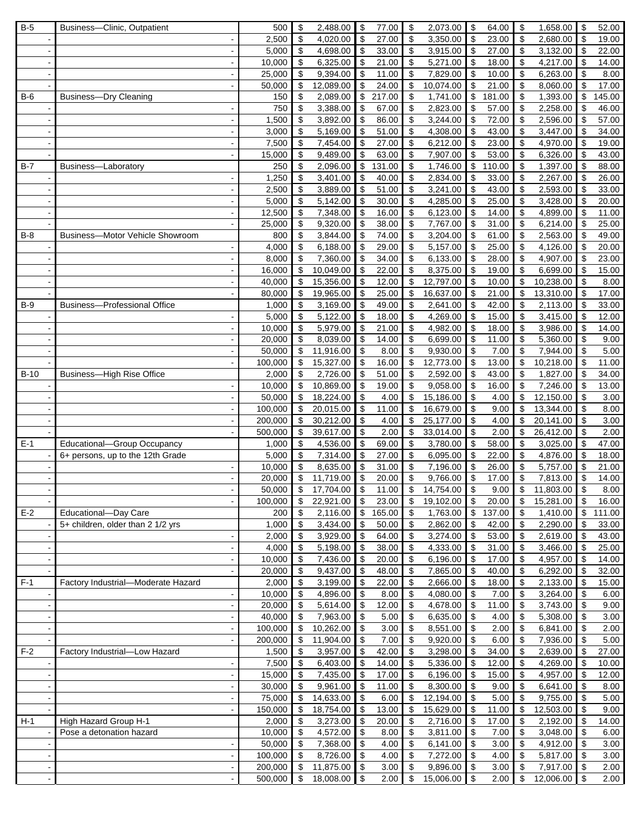| $B-5$  | Business-Clinic, Outpatient         | 500            | \$                              | 2,488.00             | \$                         | 77.00          | \$<br>2,073.00                        | \$                        | 64.00          | \$       | 1,658.00             | \$                      | 52.00          |
|--------|-------------------------------------|----------------|---------------------------------|----------------------|----------------------------|----------------|---------------------------------------|---------------------------|----------------|----------|----------------------|-------------------------|----------------|
|        |                                     | 2,500          | \$                              | 4,020.00             | -\$                        | 27.00          | $\boldsymbol{\mathsf{S}}$<br>3,350.00 | $\boldsymbol{\mathsf{S}}$ | 23.00          | \$       | 2,680.00             | \$                      | 19.00          |
|        |                                     | 5,000          | \$                              | 4,698.00             | \$                         | 33.00          | \$<br>3,915.00                        | \$                        | 27.00          | \$       | 3,132.00             | \$                      | 22.00          |
|        | $\overline{\phantom{a}}$            | 10,000         | \$                              | 6,325.00             | \$                         | 21.00          | \$<br>5,271.00                        | \$                        | 18.00          | \$       | 4,217.00             | \$                      | 14.00          |
|        | $\overline{\phantom{a}}$            | 25,000         | \$                              | 9,394.00             | \$                         | 11.00          | \$<br>7,829.00                        | \$                        | 10.00          | \$       | 6,263.00             | \$                      | 8.00           |
|        |                                     | 50,000         | \$                              | 12,089.00            | \$                         | 24.00          | \$<br>10,074.00                       | \$                        | 21.00          | \$       | 8,060.00             | \$                      | 17.00          |
| $B-6$  | Business-Dry Cleaning               | 150            | $\boldsymbol{\mathsf{S}}$       | 2,089.00             | \$                         | 217.00         | \$<br>1,741.00                        | \$                        | 181.00         | \$       | 1,393.00             | \$                      | 145.00         |
|        |                                     | 750            | \$                              | 3,388.00             | \$                         | 67.00          | \$<br>2,823.00                        | \$                        | 57.00          | \$       | 2,258.00             | \$                      | 46.00          |
|        |                                     | 1,500          | \$                              | 3,892.00             | \$                         | 86.00          | \$<br>3,244.00                        | \$                        | 72.00          | \$       | 2,596.00             | \$                      | 57.00          |
|        | $\overline{\phantom{a}}$            | 3,000          | $\boldsymbol{\mathsf{S}}$       | 5,169.00             | \$                         | 51.00          | \$<br>4,308.00                        | \$                        | 43.00          | \$       | 3,447.00             | \$                      | 34.00          |
|        |                                     | 7,500          | \$                              | 7,454.00             | \$                         | 27.00          | \$<br>6,212.00                        | \$                        | 23.00          | \$       | 4,970.00             | \$                      | 19.00          |
|        |                                     | 15,000         | \$                              | 9,489.00             | \$                         | 63.00          | \$<br>7,907.00                        | \$                        | 53.00          | \$       | 6,326.00             | \$                      | 43.00          |
| $B-7$  | Business-Laboratory                 | 250            | \$                              | 2,096.00             | \$                         | 131.00         | $\boldsymbol{\mathsf{S}}$<br>1,746.00 | \$                        | 110.00         | \$       | 1,397.00             | \$                      | 88.00          |
|        |                                     | 1,250          | \$                              | 3,401.00             | \$                         | 40.00          | $\boldsymbol{\mathsf{S}}$<br>2,834.00 | \$                        | 33.00          | \$       | 2,267.00             | \$                      | 26.00          |
|        |                                     | 2,500          | \$                              | 3,889.00             | \$                         | 51.00          | \$<br>3,241.00                        | \$                        | 43.00          | \$       | 2,593.00             | \$                      | 33.00          |
|        |                                     | 5,000          | $\boldsymbol{\mathsf{S}}$       | 5,142.00             | \$                         | 30.00          | \$<br>4,285.00                        | \$                        | 25.00          | \$       | 3,428.00             | \$                      | 20.00          |
|        |                                     |                |                                 |                      |                            | 16.00          |                                       |                           |                |          |                      |                         | 11.00          |
|        |                                     | 12,500         | \$                              | 7,348.00             | \$                         |                | 6,123.00<br>\$                        | \$                        | 14.00          | \$       | 4,899.00             | \$                      |                |
|        |                                     | 25,000         | \$                              | 9,320.00             | \$                         | 38.00          | \$<br>7,767.00                        | \$                        | 31.00          | \$       | 6,214.00             | \$                      | 25.00          |
| $B-8$  | Business-Motor Vehicle Showroom     | 800            | \$                              | 3,844.00             | \$                         | 74.00          | \$<br>3,204.00                        | \$                        | 61.00          | \$       | 2,563.00             | \$                      | 49.00          |
|        |                                     | 4,000          | \$                              | 6,188.00             | \$                         | 29.00          | \$<br>5,157.00                        | \$                        | 25.00          | \$       | 4,126.00             | \$                      | 20.00          |
|        |                                     | 8,000          | \$                              | 7,360.00             | \$                         | 34.00          | \$<br>6,133.00                        | \$                        | 28.00          | \$       | 4,907.00             | \$                      | 23.00          |
|        | $\overline{\phantom{a}}$            | 16,000         | \$                              | 10,049.00            | \$                         | 22.00          | $\boldsymbol{\mathsf{S}}$<br>8,375.00 | \$                        | 19.00          | \$       | 6,699.00             | \$                      | 15.00          |
|        | $\overline{\phantom{a}}$            | 40,000         | \$                              | 15,356.00            | \$                         | 12.00          | \$<br>12,797.00                       | \$                        | 10.00          | \$       | 10,238.00            | \$                      | 8.00           |
|        |                                     | 80,000         | \$                              | 19,965.00            | \$                         | 25.00          | \$<br>16,637.00                       | \$                        | 21.00          | \$       | 13,310.00            | \$                      | 17.00          |
| $B-9$  | <b>Business-Professional Office</b> | 1,000          | \$                              | 3,169.00             | \$                         | 49.00          | \$<br>2,641.00                        | \$                        | 42.00          | \$       | 2,113.00             | \$                      | 33.00          |
|        |                                     | 5,000          | $\boldsymbol{\mathsf{S}}$       | 5,122.00             | \$                         | 18.00          | \$<br>4,269.00                        | \$                        | 15.00          | \$       | 3,415.00             | \$                      | 12.00          |
|        |                                     | 10,000         | $\boldsymbol{\mathsf{S}}$       | 5,979.00             | \$                         | 21.00          | \$<br>4,982.00                        | \$                        | 18.00          | \$       | 3,986.00             | \$                      | 14.00          |
|        |                                     | 20,000         | \$                              | 8,039.00             | \$                         | 14.00          | \$<br>6,699.00                        | \$                        | 11.00          | \$       | 5,360.00             | \$                      | 9.00           |
|        | $\ddot{\phantom{a}}$                | 50,000         | \$                              | 11,916.00            | \$                         | 8.00           | \$<br>9,930.00                        | \$                        | 7.00           | \$       | 7,944.00             | $\overline{\mathbf{e}}$ | 5.00           |
|        |                                     | 100,000        | \$                              | 15,327.00            | \$                         | 16.00          | 12,773.00<br>\$                       | \$                        | 13.00          | \$       | 10,218.00            | \$                      | 11.00          |
| $B-10$ | <b>Business-High Rise Office</b>    | 2,000          | \$                              | 2,726.00             | \$                         | 51.00          | \$<br>2,592.00                        | \$                        | 43.00          | \$       | 1,827.00             | \$                      | 34.00          |
|        |                                     | 10,000         | \$                              | 10,869.00            | \$                         | 19.00          | \$<br>9,058.00                        | \$                        | 16.00          | \$       | 7,246.00             | \$                      | 13.00          |
|        |                                     | 50,000         | \$                              | 18,224.00            | \$                         | 4.00           | \$<br>15,186.00                       | \$                        | 4.00           | \$       | 12,150.00            | \$                      | 3.00           |
|        |                                     | 100,000        | \$                              | 20,015.00            | \$                         | 11.00          | \$<br>16,679.00                       | \$                        | 9.00           | \$       | 13,344.00            | \$                      | 8.00           |
|        | $\blacksquare$                      | 200,000        | \$                              | 30,212.00            | \$                         | 4.00           | \$<br>25,177.00                       | \$                        | 4.00           | \$       | 20,141.00            | \$                      | 3.00           |
|        |                                     | 500,000        | \$                              | 39,617.00            | \$                         | 2.00           | \$<br>33,014.00                       | \$                        | 2.00           | \$       | 26,412.00            | \$                      | 2.00           |
| $E-1$  | Educational-Group Occupancy         | 1,000          | \$                              | 4,536.00             | \$                         | 69.00          | \$<br>3,780.00                        | \$                        | 58.00          | \$       | 3,025.00             | \$                      | 47.00          |
|        | 6+ persons, up to the 12th Grade    | 5,000          | \$                              | 7,314.00             | \$                         | 27.00          | $\boldsymbol{\mathsf{S}}$<br>6,095.00 | \$                        | 22.00          | \$       | 4,876.00             | \$                      | 18.00          |
|        |                                     | 10,000         | \$                              | 8,635.00             | \$                         | 31.00          | $\sqrt[6]{\frac{1}{2}}$<br>7,196.00   | \$                        | 26.00          | \$       | 5,757.00             | \$                      | 21.00          |
|        |                                     | 20,000         | $\overline{\mathbf{e}}$         | 11,719.00            | $\sqrt{3}$                 | 20.00          | \$<br>9,766.00                        | \$                        | 17.00          | \$       | 7,813.00             | \$                      | 14.00          |
|        |                                     | 50,000         | $\mathbf{\hat{s}}$              | 17,704.00            | $\mathfrak{S}$             | $11.00$ \$     | $14,754.00$ \$                        |                           | 9.00           | \$       | 11,803.00            | \$                      | 8.00           |
|        |                                     | 100,000        | \$                              | $22,921.00$ \$       |                            | 23.00          | \$<br>19,102.00                       | \$                        | 20.00          | \$       | 15,281.00            | \$                      | 16.00          |
| $E-2$  | Educational-Day Care                | 200            | \$                              | 2,116.00             | $\sqrt{3}$                 | 165.00         | \$<br>1,763.00                        | $\boldsymbol{\mathsf{S}}$ | 137.00         | \$       | 1,410.00             | \$                      | 111.00         |
|        | 5+ children, older than 2 1/2 yrs   | 1,000          | \$                              | 3,434.00             | $\sqrt{3}$                 | 50.00          | \$<br>2,862.00                        | \$                        | 42.00          | \$       | 2,290.00             | \$                      | 33.00          |
|        |                                     | 2,000          | \$                              | 3,929.00             | $\sqrt{3}$                 | 64.00          | \$<br>3,274.00                        | \$                        | 53.00          | \$       | 2,619.00             | \$                      | 43.00          |
|        |                                     | 4,000          | $\boldsymbol{\mathsf{S}}$       | 5,198.00             | $\sqrt{3}$                 | 38.00          | \$<br>4,333.00                        | \$                        | 31.00          | \$       | 3,466.00             | \$                      | 25.00          |
|        | $\blacksquare$                      | 10,000         | \$                              | 7,436.00             | \$                         | 20.00          | \$<br>6,196.00                        | \$                        | 17.00          | \$       | 4,957.00             | \$                      | 14.00          |
|        | $\overline{\phantom{a}}$            | 20,000         | \$                              | 9,437.00             | \$                         | 48.00          | 7,865.00<br>\$                        | \$                        | 40.00          | \$       | 6,292.00             | \$                      | 32.00          |
| $F-1$  | Factory Industrial-Moderate Hazard  | 2,000          | \$                              | 3,199.00             | $\sqrt{3}$                 | 22.00          | \$<br>2,666.00                        | \$                        | 18.00          | \$       | 2,133.00             | \$                      | 15.00          |
|        |                                     | 10,000         | \$                              | 4,896.00             | \$                         | 8.00           | \$<br>4,080.00                        | \$                        | 7.00           | \$       | 3,264.00             | \$                      | 6.00           |
|        | $\overline{\phantom{a}}$            | 20,000         | \$                              | 5,614.00             | \$                         | 12.00          | \$<br>4,678.00                        | \$                        | 11.00          | \$       | 3,743.00             | \$                      | 9.00           |
|        |                                     | 40,000         | \$                              | 7,963.00             | $\boldsymbol{\mathsf{\$}}$ | 5.00           | \$<br>6,635.00                        | \$                        | 4.00           | \$       | 5,308.00             | \$                      | 3.00           |
|        |                                     | 100,000        | $\sqrt[6]{3}$                   | 10,262.00            | $\boldsymbol{\mathsf{\$}}$ | 3.00           | \$<br>8,551.00                        | \$                        | 2.00           | \$       | 6,841.00             | \$                      | 2.00           |
|        | ÷,                                  | 200,000        | \$                              | 11,904.00            | \$                         | 7.00           | \$<br>9,920.00                        | \$                        | 6.00           | \$       | 7,936.00             | \$                      | 5.00           |
|        |                                     |                |                                 |                      |                            |                |                                       |                           |                |          |                      |                         |                |
| $F-2$  | Factory Industrial-Low Hazard       | 1,500<br>7,500 | \$<br>$\boldsymbol{\mathsf{S}}$ | 3,957.00<br>6,403.00 | $\sqrt{3}$<br>$\sqrt{3}$   | 42.00<br>14.00 | \$<br>3,298.00<br>\$<br>5,336.00      | \$<br>\$                  | 34.00<br>12.00 | \$<br>\$ | 2,639.00<br>4,269.00 | \$<br>\$                | 27.00<br>10.00 |
|        |                                     |                |                                 |                      |                            |                |                                       |                           |                |          |                      |                         |                |
|        | $\overline{\phantom{a}}$            | 15,000         | \$                              | 7,435.00             | \$                         | 17.00          | \$<br>6,196.00                        | \$                        | 15.00          | \$       | 4,957.00             | \$                      | 12.00          |
|        |                                     | 30,000         | \$                              | 9,961.00             | $\sqrt{3}$                 | 11.00          | \$<br>8,300.00                        | \$                        | 9.00           | \$       | 6,641.00             | \$                      | 8.00           |
|        |                                     | 75,000         | \$                              | 14,633.00            | \$                         | 6.00           | \$<br>12,194.00                       | \$                        | 5.00           | \$       | 9,755.00             | \$                      | 5.00           |
|        | $\blacksquare$                      | 150,000        | \$                              | 18,754.00            | \$                         | 13.00          | \$<br>15,629.00                       | \$                        | 11.00          | \$       | 12,503.00            | \$                      | 9.00           |
| $H-1$  | High Hazard Group H-1               | 2,000          | \$                              | 3,273.00             | \$                         | 20.00          | \$<br>2,716.00                        | \$                        | 17.00          | \$       | 2,192.00             | \$                      | 14.00          |
|        | Pose a detonation hazard            | 10,000         | $\boldsymbol{\mathsf{S}}$       | 4,572.00             | $\sqrt{3}$                 | 8.00           | \$<br>3,811.00                        | -\$                       | 7.00           | \$       | 3,048.00             | \$                      | 6.00           |
|        | $\overline{\phantom{a}}$            | 50,000         | \$                              | 7,368.00             | \$                         | 4.00           | \$<br>6,141.00                        | \$                        | 3.00           | \$       | 4,912.00             | \$                      | 3.00           |
|        |                                     | 100,000        | \$                              | 8,726.00             | \$                         | 4.00           | \$<br>7,272.00                        | \$                        | 4.00           | \$       | 5,817.00             | \$                      | 3.00           |
|        |                                     | 200,000        | $\sqrt[6]{3}$                   | 11,875.00            | $\sqrt{3}$                 | 3.00           | $\sqrt[6]{3}$<br>9,896.00             | l \$                      | 3.00           | \$       | 7,917.00             | \$                      | 2.00           |
|        |                                     | 500,000        | $\sqrt[6]{3}$                   | 18,008.00            | $\sqrt{3}$                 | 2.00           | $\sqrt[6]{\frac{1}{2}}$<br>15,006.00  | l \$                      | 2.00           | \$       | 12,006.00            | \$                      | 2.00           |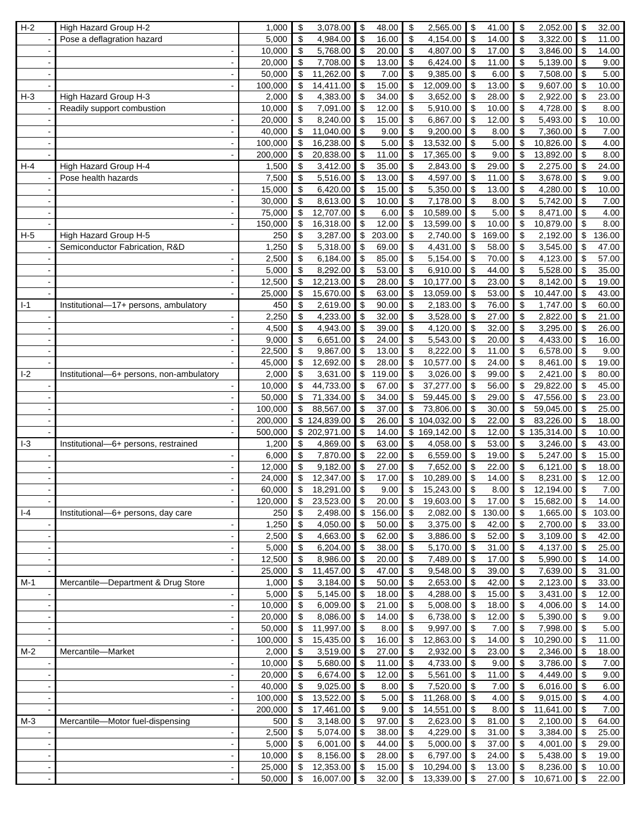| $H-2$  | High Hazard Group H-2                    | 1,000            | \$                                        | 3,078.00                    | $\sqrt{3}$                | 48.00          | \$<br>2,565.00                            | \$                         | 41.00          | \$                   | 2,052.00              | \$                       | 32.00          |
|--------|------------------------------------------|------------------|-------------------------------------------|-----------------------------|---------------------------|----------------|-------------------------------------------|----------------------------|----------------|----------------------|-----------------------|--------------------------|----------------|
|        | Pose a deflagration hazard               | 5,000            | $\sqrt[6]{\frac{1}{2}}$                   | 4,984.00                    | $\sqrt{3}$                | 16.00          | $\sqrt[6]{3}$<br>4,154.00                 | \$                         | 14.00          | \$                   | 3,322.00              | \$                       | 11.00          |
|        | $\overline{\phantom{a}}$                 | 10,000           | \$                                        | 5,768.00                    | \$                        | 20.00          | \$<br>4,807.00                            | \$                         | 17.00          | \$                   | 3,846.00              | \$                       | 14.00          |
|        |                                          | 20,000           | \$                                        | 7,708.00                    | \$                        | 13.00          | \$<br>6,424.00                            | \$                         | 11.00          | \$                   | 5,139.00              | \$                       | 9.00           |
|        |                                          | 50,000           | \$                                        | 11,262.00                   | \$                        | 7.00           | \$<br>9,385.00                            | \$                         | 6.00           | \$                   | 7,508.00              | \$                       | 5.00           |
|        |                                          | 100,000          | \$                                        | 14,411.00                   | \$                        | 15.00          | \$<br>12,009.00                           | \$                         | 13.00          | \$                   | 9,607.00              | \$                       | 10.00          |
| $H-3$  | High Hazard Group H-3                    | 2,000            | \$                                        | 4,383.00                    | \$                        | 34.00          | \$<br>3,652.00                            | \$                         | 28.00          | \$                   | 2,922.00              | \$                       | 23.00          |
|        | Readily support combustion               | 10,000           | \$                                        | 7,091.00                    | \$                        | 12.00          | \$<br>5,910.00                            | \$                         | 10.00          | \$                   | 4,728.00              | \$                       | 8.00           |
|        |                                          | 20,000           | \$                                        | 8,240.00                    | $\boldsymbol{\mathsf{S}}$ | 15.00          | $\sqrt[6]{\frac{1}{2}}$<br>6,867.00       | \$                         | 12.00          | \$                   | 5,493.00              | \$                       | 10.00          |
|        | $\overline{\phantom{a}}$                 | 40,000           | \$                                        | 11,040.00                   | \$                        | 9.00           | \$<br>9,200.00                            | \$                         | 8.00           | \$                   | 7,360.00              | \$                       | 7.00           |
|        |                                          | 100,000          | \$                                        | 16,238.00                   | \$                        | 5.00           | \$<br>13,532.00                           | \$                         | 5.00           | \$                   | 10,826.00             | \$                       | 4.00           |
|        |                                          | 200,000          | \$                                        | 20,838.00                   | \$                        | 11.00          | \$<br>17,365.00                           | \$                         | 9.00           | \$                   | 13,892.00             | \$                       | 8.00           |
| $H-4$  | High Hazard Group H-4                    | 1,500            | \$                                        | 3,412.00                    | \$                        | 35.00          | \$<br>2,843.00                            | \$                         | 29.00          | \$                   | 2,275.00              | $\overline{\mathcal{E}}$ | 24.00          |
|        | Pose health hazards                      | 7,500            | \$                                        | 5,516.00                    | \$                        | 13.00          | $\boldsymbol{\mathsf{S}}$<br>4,597.00     | \$                         | 11.00          | \$                   | 3,678.00              | \$                       | 9.00           |
|        |                                          | 15,000           | \$                                        | 6,420.00                    | \$                        | 15.00          | \$<br>$\overline{5,}350.00$               | \$                         | 13.00          | \$                   | 4,280.00              | \$                       | 10.00          |
|        |                                          | 30,000           | \$                                        | 8,613.00                    | \$                        | 10.00          | \$<br>7,178.00                            | $\boldsymbol{\mathsf{S}}$  | 8.00           | \$                   | 5,742.00              | \$                       | 7.00           |
|        |                                          | 75,000           | \$                                        | 12,707.00                   | \$                        | 6.00           | 10,589.00<br>\$                           | \$                         | 5.00           | \$                   | 8,471.00              | \$                       | 4.00           |
|        |                                          | 150,000          | \$                                        |                             | \$                        | 12.00          | \$<br>13,599.00                           | \$                         | 10.00          | \$                   | 10,879.00             | \$                       | 8.00           |
| $H-5$  | High Hazard Group H-5                    | 250              | \$                                        | 16,318.00<br>3,287.00       | \$                        | 203.00         | \$<br>2,740.00                            | \$                         | 169.00         | \$                   | 2,192.00              | \$                       | 136.00         |
|        | Semiconductor Fabrication, R&D           | 1,250            | \$                                        | 5,318.00                    | \$                        | 69.00          | \$<br>4,431.00                            | \$                         | 58.00          | \$                   | 3,545.00              | \$                       | 47.00          |
|        |                                          |                  |                                           |                             |                           |                |                                           |                            |                |                      |                       |                          |                |
|        |                                          | 2,500            | \$                                        | 6,184.00                    | \$                        | 85.00          | \$<br>$\overline{5}$ , 154.00             | \$                         | 70.00          | \$                   | 4,123.00              | \$                       | 57.00          |
|        | $\overline{\phantom{a}}$                 | 5,000            | \$                                        | 8,292.00                    | \$                        | 53.00          | \$<br>6,910.00                            | \$                         | 44.00          | \$                   | 5,528.00              | \$                       | 35.00          |
|        |                                          | 12,500           | \$                                        | 12,213.00                   | \$                        | 28.00          | \$<br>10,177.00                           | \$                         | 23.00          | \$                   | 8,142.00              | \$                       | 19.00          |
|        |                                          | 25,000           | \$                                        | 15,670.00                   | \$                        | 63.00          | \$<br>13,059.00                           | \$                         | 53.00          | \$                   | 10,447.00             | \$                       | 43.00          |
| $I-1$  | Institutional-17+ persons, ambulatory    | 450              | \$                                        | 2,619.00                    | $\boldsymbol{\mathsf{S}}$ | 90.00          | $\boldsymbol{\mathsf{S}}$<br>2,183.00     | \$                         | 76.00          | \$                   | 1,747.00              | \$                       | 60.00          |
|        |                                          | 2,250            | \$                                        | 4,233.00                    | \$                        | 32.00          | $\boldsymbol{\mathsf{S}}$<br>3,528.00     | \$                         | 27.00          | \$                   | 2,822.00              | \$                       | 21.00          |
|        |                                          | 4,500            | \$                                        | 4,943.00                    | \$                        | 39.00          | $\sqrt[6]{\frac{1}{2}}$<br>4,120.00       | \$                         | 32.00          | \$                   | 3,295.00              | \$                       | 26.00          |
|        | $\overline{\phantom{a}}$                 | 9,000            | \$                                        | 6,651.00                    | \$                        | 24.00          | \$<br>5,543.00                            | \$                         | 20.00          | \$                   | 4,433.00              | \$                       | 16.00          |
|        |                                          | 22,500           | \$                                        | 9,867.00                    | \$                        | 13.00          | 8,222.00<br>\$                            | \$                         | 11.00          | \$                   | 6,578.00              | \$                       | 9.00           |
|        |                                          | 45,000           | \$                                        | 12,692.00                   | \$                        | 28.00          | \$<br>10,577.00                           | \$                         | 24.00          | \$                   | 8,461.00              | \$                       | 19.00          |
| $-2$   | Institutional-6+ persons, non-ambulatory | 2,000            | \$                                        | 3,631.00                    | \$                        | 119.00         | \$<br>3,026.00                            | \$                         | 99.00          | \$                   | 2,421.00              | \$                       | 80.00          |
|        |                                          | 10,000           | \$                                        | 44,733.00                   | \$                        | 67.00          | \$<br>37,277.00                           | \$                         | 56.00          | \$                   | 29,822.00             | \$                       | 45.00          |
|        |                                          | 50,000           | $\sqrt[6]{\frac{1}{2}}$                   | 71,334.00                   | \$                        | 34.00          | \$<br>59,445.00                           | \$                         | 29.00          | \$                   | 47,556.00             | \$                       | 23.00          |
|        |                                          | 100,000          | \$                                        | 88,567.00                   | $\mathfrak{S}$            | 37.00          | \$<br>73,806.00                           | \$                         | 30.00          | \$                   | 59,045.00             | \$                       | 25.00          |
|        |                                          | 200,000          |                                           | \$124,839.00                | \$                        | 26.00          | \$104,032.00                              | \$                         | 22.00          | \$                   | 83,226.00             | \$                       | 18.00          |
|        |                                          | 500,000          |                                           | \$202,971.00                | \$                        | 14.00          | \$169,142.00                              | \$                         | 12.00          |                      | \$135,314.00          | \$                       | 10.00          |
| $-3$   | Institutional-6+ persons, restrained     | 1,200            | \$                                        | 4,869.00                    | \$                        | 63.00          | \$<br>4,058.00                            | \$                         | 53.00          | \$                   | 3,246.00              | \$                       | 43.00          |
|        |                                          | 6,000            | \$                                        | 7,870.00                    | \$                        | 22.00          | $\overline{\mathbf{S}}$<br>6,559.00       | \$                         | 19.00          | \$                   | 5,247.00              | \$                       | 15.00          |
|        |                                          | 12,000           | \$                                        | 9,182.00                    | \$                        | 27.00          | $\mathfrak{s}$<br>7,652.00                | \$                         | 22.00          | \$                   | 6,121.00              | \$                       | 18.00          |
|        |                                          | 24,000           | $\boldsymbol{\mathsf{S}}$                 | 12,347.00                   | \$                        | 17.00          | \$<br>10,289.00                           | \$                         | 14.00          | \$                   | 8,231.00              | \$                       | 12.00          |
|        |                                          | 60.000           | $\overline{\mathbf{s}}$                   | 18.291.00                   | $\overline{\mathbf{s}}$   | 9.00           | $\boldsymbol{\mathsf{s}}$<br>15,243.00    | $\boldsymbol{\mathsf{s}}$  | 8.00           | $\mathsf{\$}$        | 12,194.00             | $\mathbb{S}$             | 7.00           |
|        |                                          | 120,000          | \$                                        | 23,523.00 \$                |                           | 20.00          | \$<br>19,603.00                           | $\sqrt[6]{\frac{1}{2}}$    | 17.00          | \$                   | 15,682.00             | \$                       | 14.00          |
| $  -4$ | Institutional-6+ persons, day care       | 250              | \$                                        | 2,498.00                    |                           | \$156.00       | \$<br>2,082.00                            | $\boldsymbol{\mathsf{\$}}$ | 130.00         | \$                   | 1,665.00              | \$                       | 103.00         |
|        | $\overline{\phantom{a}}$                 | 1,250            | $\overline{\mathbf{e}}$                   | 4,050.00                    | $\overline{\mathbf{3}}$   | 50.00          | $\sqrt[6]{\frac{1}{2}}$<br>3,375.00       | \$                         | 42.00          | \$                   | 2,700.00              | \$                       | 33.00          |
|        |                                          | 2,500            | \$                                        | 4,663.00                    | $\sqrt{3}$                | 62.00          | \$<br>3,886.00                            | \$                         | 52.00          | \$                   | 3,109.00              | \$                       | 42.00          |
|        |                                          | 5,000            | \$                                        | 6,204.00                    | $\sqrt{3}$                | 38.00          | \$<br>5,170.00                            | \$                         | 31.00          | \$                   | 4,137.00              | \$                       | 25.00          |
|        | $\blacksquare$                           | 12,500           | \$                                        | 8,986.00                    | \$                        | 20.00          | \$<br>7,489.00                            | \$                         | 17.00          | \$                   | 5,990.00              | \$                       | 14.00          |
|        |                                          | 25,000           | \$                                        | 11,457.00                   | \$                        | 47.00          | 9,548.00<br>\$                            | \$                         | 39.00          | \$                   | 7,639.00              | \$                       | 31.00          |
| $M-1$  | Mercantile-Department & Drug Store       | 1,000            | \$                                        | 3,184.00                    | l \$                      | 50.00          | \$<br>2,653.00                            | <b>\$</b>                  | 42.00          | \$                   | 2,123.00              | \$                       | 33.00          |
|        | $\overline{\phantom{a}}$                 | 5,000            | $\, \, \mathbb{S} \,$                     | 5,145.00                    | $\sqrt{3}$                | 18.00          | \$<br>4,288.00                            | \$                         | 15.00          | \$                   | 3,431.00              | \$                       | 12.00          |
|        |                                          | 10,000           | \$                                        | 6,009.00                    | $\boldsymbol{\mathsf{S}}$ | 21.00          | $\sqrt[6]{\frac{1}{2}}$<br>5,008.00       | \$                         | 18.00          | \$                   | 4,006.00              | \$                       | 14.00          |
|        |                                          | 20,000           | \$                                        | 8,086.00                    | $\sqrt{3}$                | 14.00          | \$<br>6,738.00                            | $\sqrt{3}$                 | 12.00          | \$                   | 5,390.00              | \$                       | 9.00           |
|        | $\blacksquare$                           | 50,000           | \$                                        | 11,997.00                   | $\bullet$                 | 8.00           | $\sqrt[6]{\frac{1}{2}}$<br>9,997.00       | \$                         | 7.00           | \$                   | 7,998.00              | \$                       | 5.00           |
|        | $\overline{\phantom{a}}$                 | 100,000          |                                           | 15,435.00                   | $\sqrt{3}$                | 16.00          | $\sqrt[6]{\frac{1}{2}}$<br>12,863.00      | \$                         | 14.00          | \$                   | 10,290.00             | \$                       | 11.00          |
| $M-2$  | Mercantile-Market                        | 2,000            | \$<br>$\boldsymbol{\mathsf{\$}}$          | 3,519.00                    | $\sqrt{3}$                | 27.00          | \$<br>2,932.00                            | \$                         | 23.00          | \$                   | 2,346.00              | \$                       | 18.00          |
|        |                                          |                  |                                           |                             |                           |                |                                           |                            |                |                      |                       |                          |                |
|        | $\overline{\phantom{a}}$                 | 10,000           | $\, \, \raisebox{12pt}{$\scriptstyle \$}$ | 5,680.00                    | l \$                      | 11.00          | \$<br>4,733.00                            | \$                         | 9.00           | \$                   | 3,786.00              | \$                       | 7.00           |
|        | $\overline{\phantom{a}}$                 | 20,000           | \$                                        | 6,674.00                    | $\sqrt{3}$                | 12.00          | \$<br>5,561.00                            | \$                         | 11.00          | \$                   | 4,449.00              | \$                       | 9.00           |
|        |                                          | 40,000           | $\sqrt[6]{\frac{1}{2}}$                   | 9,025.00                    | $\sqrt{3}$                | 8.00           | $\sqrt[6]{\frac{1}{2}}$<br>7,520.00       | $\sqrt{3}$                 | 7.00           | \$                   | 6,016.00              | \$                       | 6.00           |
|        |                                          |                  |                                           | 13,522.00                   | $\sqrt[6]{\frac{1}{2}}$   |                | \$<br>11,268.00                           | \$                         | 4.00           | \$                   | 9,015.00              | \$                       | 4.00           |
|        |                                          | 100,000          | $\boldsymbol{\mathsf{S}}$                 |                             |                           | 5.00           |                                           |                            |                |                      |                       |                          |                |
|        | $\overline{\phantom{a}}$                 | 200,000          | \$                                        | 17,461.00                   | $\boldsymbol{\theta}$     | 9.00           | \$<br>14,551.00                           | $\boldsymbol{\mathsf{S}}$  | 8.00           | \$                   | 11,641.00             | \$                       | 7.00           |
| $M-3$  | Mercantile-Motor fuel-dispensing         | 500              | \$                                        | 3,148.00                    | l \$                      | 97.00          | \$<br>2,623.00                            | $\sqrt{3}$                 | 81.00          | \$                   | 2,100.00              | \$                       | 64.00          |
|        |                                          | 2,500            | $\boldsymbol{\mathsf{\$}}$                | 5,074.00                    | l \$                      | 38.00          | \$<br>4,229.00                            | $\boldsymbol{\mathsf{S}}$  | 31.00          | \$                   | 3,384.00              | \$                       | 25.00          |
|        | $\overline{\phantom{a}}$                 | 5,000            | $\, \, \raisebox{12pt}{$\scriptstyle \$}$ | 6,001.00                    | $\sqrt{3}$                | 44.00          | \$<br>5,000.00                            | \$                         | 37.00          | \$                   | 4,001.00              | \$                       | 29.00          |
|        |                                          | 10,000           | $\sqrt[6]{3}$                             | 8,156.00                    | l \$                      | 28.00          | $\sqrt[6]{\frac{1}{2}}$<br>6,797.00       | $\sqrt{3}$                 | 24.00          | \$                   | 5,438.00              | \$                       | 19.00          |
|        | $\overline{\phantom{a}}$                 | 25,000<br>50,000 | $\sqrt[6]{\frac{1}{2}}$<br>$\sqrt{2}$     | 12,353.00<br>$16,007.00$ \$ | $\sqrt{3}$                | 15.00<br>32.00 | \$<br>10,294.00<br>$\bullet$<br>13,339.00 | $\sqrt{3}$<br>$\sqrt{3}$   | 13.00<br>27.00 | \$<br>$$\mathbb{S}$$ | 8,236.00<br>10,671.00 | \$<br>\$                 | 10.00<br>22.00 |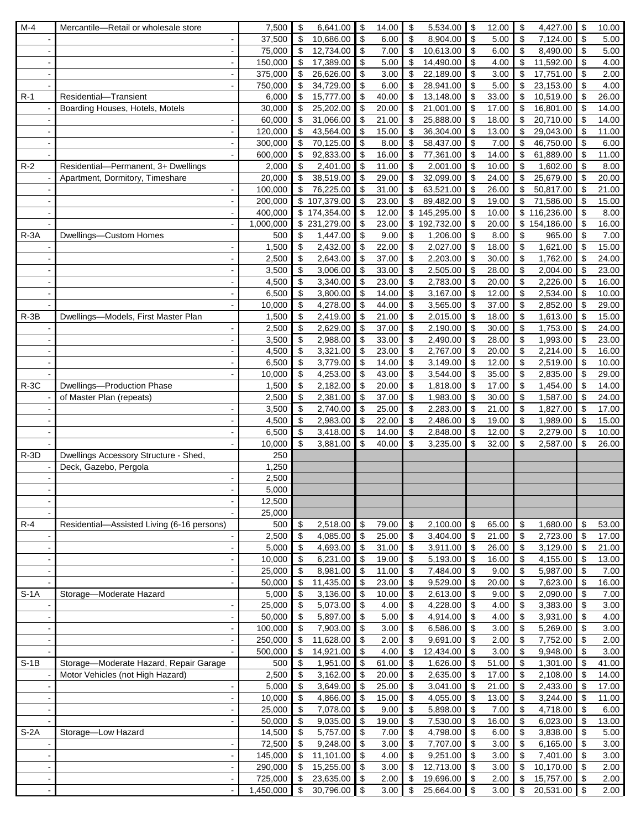| $M-4$          | Mercantile-Retail or wholesale store       | 7,500     | \$             | 6,641.00             | \$                        | 14.00         | \$<br>5,534.00                         | \$                        | 12.00         | \$                        | 4,427.00              | \$                        | 10.00         |
|----------------|--------------------------------------------|-----------|----------------|----------------------|---------------------------|---------------|----------------------------------------|---------------------------|---------------|---------------------------|-----------------------|---------------------------|---------------|
|                |                                            | 37,500    | \$             | 10,686.00            | \$                        | 6.00          | \$<br>8,904.00                         | \$                        | 5.00          | \$                        | 7,124.00              | $\boldsymbol{\mathsf{S}}$ | 5.00          |
|                | $\blacksquare$                             | 75,000    | \$             | 12,734.00            | \$                        | 7.00          | \$<br>10,613.00                        | \$                        | 6.00          | \$                        | 8,490.00              | $\mathfrak{S}$            | 5.00          |
|                | $\blacksquare$                             | 150,000   | \$             | 17,389.00            | \$                        | 5.00          | \$<br>14,490.00                        | \$                        | 4.00          | \$                        | 11,592.00             | $\boldsymbol{\mathsf{S}}$ | 4.00          |
|                | $\blacksquare$                             | 375,000   | \$             | 26,626.00            | \$                        | 3.00          | \$<br>22,189.00                        | \$                        | 3.00          | \$                        | 17,751.00             | \$                        | 2.00          |
|                |                                            | 750,000   | \$             | 34,729.00            | \$                        | 6.00          | \$<br>28,941.00                        | \$                        | 5.00          | \$                        | 23,153.00             | \$                        | 4.00          |
| $R-1$          | Residential-Transient                      | 6,000     | \$             | 15,777.00            | \$                        | 40.00         | \$<br>13,148.00                        | \$                        | 33.00         | \$                        | 10,519.00             | \$                        | 26.00         |
|                | Boarding Houses, Hotels, Motels            | 30,000    | \$             | 25,202.00            | \$                        | 20.00         | \$<br>21,001.00                        | \$                        | 17.00         | \$                        | 16,801.00             | \$                        | 14.00         |
|                |                                            | 60,000    | \$             | 31,066.00            | \$                        | 21.00         | $\boldsymbol{\mathsf{S}}$<br>25,888.00 | \$                        | 18.00         | \$                        | 20,710.00             | \$                        | 14.00         |
|                | $\blacksquare$                             | 120,000   | \$             | 43,564.00            | \$                        | 15.00         | \$<br>36,304.00                        | \$                        | 13.00         | \$                        | 29,043.00             | \$                        | 11.00         |
|                | $\blacksquare$                             | 300,000   | \$             | 70,125.00            | \$                        | 8.00          | 58,437.00<br>\$                        | \$                        | 7.00          | \$                        | 46,750.00             | \$                        | 6.00          |
|                |                                            | 600,000   | \$             | 92,833.00            | \$                        | 16.00         | \$<br>77,361.00                        | \$                        | 14.00         | \$                        | 61,889.00             | \$                        | 11.00         |
| $R-2$          | Residential-Permanent, 3+ Dwellings        | 2,000     | \$             | 2,401.00             | \$                        | 11.00         | \$<br>2,001.00                         | \$                        | 10.00         | \$                        | 1,602.00              | \$                        | 8.00          |
|                | Apartment, Dormitory, Timeshare            | 20,000    | \$             | 38,519.00            | \$                        | 29.00         | \$<br>32,099.00                        | \$                        | 24.00         | \$                        | 25,679.00             | \$                        | 20.00         |
|                |                                            | 100,000   | \$             | 76,225.00            | \$                        | 31.00         | \$<br>63,521.00                        | \$                        | 26.00         | \$                        | 50,817.00             | \$                        | 21.00         |
|                |                                            | 200,000   |                | \$107,379.00         | \$                        | 23.00         | \$<br>89,482.00                        | $\boldsymbol{\mathsf{S}}$ | 19.00         | \$                        | 71,586.00             | \$                        | 15.00         |
|                | $\blacksquare$                             | 400,000   |                | \$174,354.00         | \$                        | 12.00         | \$145,295.00                           | \$                        | 10.00         | \$                        | 116,236.00            | \$                        | 8.00          |
|                |                                            |           |                | \$231,279.00         | \$                        | 23.00         | \$192,732.00                           |                           | 20.00         |                           | \$154,186.00          | \$                        |               |
|                | $\blacksquare$                             | 1,000,000 |                |                      | \$                        |               | 1,206.00                               | \$                        |               |                           |                       |                           | 16.00         |
| $R - 3A$       | Dwellings-Custom Homes                     | 500       | \$<br>\$       | 1,447.00<br>2,432.00 | \$                        | 9.00<br>22.00 | \$<br>\$<br>2,027.00                   | \$                        | 8.00<br>18.00 | \$<br>\$                  | 965.00                | \$<br>\$                  | 7.00<br>15.00 |
|                |                                            | 1,500     |                |                      |                           |               |                                        | \$                        |               |                           | 1,621.00              |                           |               |
|                |                                            | 2,500     | \$             | 2,643.00             | \$                        | 37.00         | \$<br>2,203.00                         | \$                        | 30.00         | \$                        | 1,762.00              | \$                        | 24.00         |
|                |                                            | 3,500     | \$             | 3,006.00             | -\$                       | 33.00         | \$<br>2,505.00                         | \$                        | 28.00         | \$                        | 2,004.00              | \$                        | 23.00         |
|                | $\sim$                                     | 4,500     | \$             | 3,340.00             | \$                        | 23.00         | \$<br>2,783.00                         | \$                        | 20.00         | \$                        | 2,226.00              | \$                        | 16.00         |
|                |                                            | 6,500     | \$             | 3,800.00             | \$                        | 14.00         | -\$<br>3,167.00                        | \$                        | 12.00         | \$                        | 2,534.00              | \$                        | 10.00         |
|                | $\blacksquare$                             | 10,000    | \$             | 4,278.00             | \$                        | 44.00         | \$<br>3,565.00                         | \$                        | 37.00         | \$                        | 2,852.00              | \$                        | 29.00         |
| $R - 3B$       | Dwellings-Models, First Master Plan        | 1,500     | \$             | 2,419.00             | \$                        | 21.00         | \$<br>2,015.00                         | \$                        | 18.00         | \$                        | 1,613.00              | \$                        | 15.00         |
|                |                                            | 2,500     | \$             | 2,629.00             | \$                        | 37.00         | \$<br>2,190.00                         | \$                        | 30.00         | \$                        | 1,753.00              | \$                        | 24.00         |
|                | $\overline{\phantom{a}}$                   | 3,500     | \$             | 2,988.00             | \$                        | 33.00         | 2,490.00<br>\$                         | $\boldsymbol{\mathsf{S}}$ | 28.00         | \$                        | 1,993.00              | \$                        | 23.00         |
|                | $\sim$                                     | 4,500     | \$             | 3,321.00             | \$                        | 23.00         | \$<br>2,767.00                         | \$                        | 20.00         | \$                        | 2,214.00              | \$                        | 16.00         |
|                |                                            | 6,500     | \$             | 3,779.00             | \$                        | 14.00         | \$<br>3,149.00                         | \$                        | 12.00         | \$                        | 2,519.00              | \$                        | 10.00         |
|                | $\blacksquare$                             | 10,000    | \$             | 4,253.00             | \$                        | 43.00         | \$<br>3,544.00                         | \$                        | 35.00         | \$                        | 2,835.00              | \$                        | 29.00         |
| $R-3C$         | Dwellings-Production Phase                 | 1,500     | \$             | 2,182.00             | \$                        | 20.00         | \$<br>1,818.00                         | \$                        | 17.00         | \$                        | 1,454.00              | \$                        | 14.00         |
|                | of Master Plan (repeats)                   | 2,500     | \$             | 2,381.00             | \$                        | 37.00         | \$<br>1,983.00                         | \$                        | 30.00         | \$                        | 1,587.00              | \$                        | 24.00         |
|                |                                            | 3,500     | \$             | 2,740.00             | \$                        | 25.00         | $\boldsymbol{\mathsf{S}}$<br>2,283.00  | \$                        | 21.00         | \$                        | 1,827.00              | \$                        | 17.00         |
|                | $\overline{\phantom{a}}$                   | 4,500     | \$             | 2,983.00             | \$                        | 22.00         | \$<br>2,486.00                         | \$                        | 19.00         | \$                        | 1,989.00              | \$                        | 15.00         |
|                |                                            | 6,500     | \$             | 3,418.00             | \$                        | 14.00         | \$<br>2,848.00                         | \$                        | 12.00         | \$                        | 2,279.00              | \$                        | 10.00         |
|                |                                            | 10,000    | \$             | 3,881.00             | \$                        | 40.00         | \$<br>3,235.00                         | \$                        | 32.00         | \$                        | 2,587.00              | \$                        | 26.00         |
| $R-3D$         | Dwellings Accessory Structure - Shed,      | 250       |                |                      |                           |               |                                        |                           |               |                           |                       |                           |               |
|                | Deck, Gazebo, Pergola                      | 1,250     |                |                      |                           |               |                                        |                           |               |                           |                       |                           |               |
|                |                                            | 2,500     |                |                      |                           |               |                                        |                           |               |                           |                       |                           |               |
|                |                                            | 5,000     |                |                      |                           |               |                                        |                           |               |                           |                       |                           |               |
|                | $\overline{\phantom{a}}$                   | 12,500    |                |                      |                           |               |                                        |                           |               |                           |                       |                           |               |
|                |                                            | 25,000    |                |                      |                           |               |                                        |                           |               |                           |                       |                           |               |
| $R-4$          | Residential-Assisted Living (6-16 persons) | 500       | \$             | 2,518.00             | \$                        | 79.00         | \$<br>2,100.00                         | \$                        | 65.00         | \$                        | 1,680.00              | \$                        | 53.00         |
|                |                                            | 2,500     | \$             | 4,085.00             | $\boldsymbol{\mathsf{S}}$ | 25.00         | $\boldsymbol{\mathsf{S}}$<br>3,404.00  | $\overline{\mathbf{e}}$   | 21.00         | \$                        | 2,723.00              | \$                        | 17.00         |
|                | $\blacksquare$                             | 5,000     | \$             | 4,693.00             | \$                        | 31.00         | \$<br>3,911.00                         | $\sqrt[6]{\frac{1}{2}}$   | 26.00         | \$                        | 3,129.00              | \$                        | 21.00         |
|                |                                            | 10,000    | \$             | 6,231.00             | \$                        | 19.00         | \$<br>5,193.00                         | $\boldsymbol{\mathsf{S}}$ | 16.00         | \$                        | 4,155.00              | \$                        | 13.00         |
|                | $\overline{\phantom{a}}$                   | 25,000    | \$             | 8,981.00             | \$                        | 11.00         | $\sqrt[6]{\frac{1}{2}}$<br>7,484.00    | \$                        | 9.00          | \$                        | 5,987.00              | $\boldsymbol{\mathsf{S}}$ | 7.00          |
|                | $\blacksquare$                             | 50,000    | \$             | 11,435.00            | \$                        | 23.00         | -\$<br>9,529.00                        | \$                        | 20.00         | \$                        | 7,623.00              | \$                        | 16.00         |
| $S-1A$         | Storage-Moderate Hazard                    | 5,000     | \$             | 3,136.00             | \$                        | 10.00         | \$<br>2,613.00                         | \$                        | 9.00          | \$                        | 2,090.00              | \$                        | 7.00          |
|                | $\blacksquare$                             | 25,000    | \$             | 5,073.00             | \$                        | 4.00          | \$<br>4,228.00                         | \$                        | 4.00          | \$                        | 3,383.00              | $\sqrt[6]{\frac{1}{2}}$   | 3.00          |
|                | $\overline{\phantom{a}}$                   | 50,000    | \$             | 5,897.00             | \$                        | 5.00          | \$<br>4,914.00                         | \$                        | 4.00          | \$                        | 3,931.00              | \$                        | 4.00          |
|                | $\blacksquare$                             | 100,000   | \$             | 7,903.00             | \$                        | 3.00          | \$<br>6,586.00                         | $\boldsymbol{\mathsf{S}}$ | 3.00          | \$                        | 5,269.00              | \$                        | $3.00\,$      |
|                | $\blacksquare$                             | 250,000   | \$             | 11,628.00            | \$                        | 2.00          | \$<br>9,691.00                         | \$                        | 2.00          | \$                        | 7,752.00              | $\sqrt[6]{\frac{1}{2}}$   | 2.00          |
|                |                                            | 500,000   | \$             | 14,921.00            | \$                        | 4.00          | $\sqrt{3}$<br>12,434.00                | \$                        | 3.00          | \$                        | 9,948.00              | \$                        | 3.00          |
| $S-1B$         | Storage-Moderate Hazard, Repair Garage     | 500       | \$             | 1,951.00             | $\sqrt{3}$                | 61.00         | -\$<br>1,626.00                        | $\sqrt{3}$                | 51.00         | \$                        | 1,301.00              | \$                        | 41.00         |
|                | Motor Vehicles (not High Hazard)           | 2,500     | \$             | 3,162.00             | \$                        | 20.00         | \$<br>2,635.00                         | \$                        | 17.00         | \$                        | 2,108.00              | \$                        | 14.00         |
|                | $\blacksquare$                             | 5,000     | \$             | 3,649.00             | \$                        | 25.00         | \$<br>3,041.00                         | \$                        | 21.00         | \$                        | 2,433.00              | \$                        | 17.00         |
|                | $\overline{\phantom{a}}$                   | 10,000    | \$             | 4,866.00             | \$                        | 15.00         | \$<br>4,055.00                         | $\sqrt[6]{\frac{1}{2}}$   | 13.00         | \$                        | 3,244.00              | \$                        | 11.00         |
|                | $\overline{\phantom{a}}$                   | 25,000    | \$             | 7,078.00             | \$                        | 9.00          | \$<br>5,898.00                         | \$                        | 7.00          | \$                        | 4,718.00              | \$                        | 6.00          |
|                | $\blacksquare$                             | 50,000    | \$             | 9,035.00             | \$                        | 19.00         | \$<br>7,530.00                         | \$                        | 16.00         | \$                        | 6,023.00              | \$                        | 13.00         |
| $S-2A$         | Storage-Low Hazard                         | 14,500    | \$             | 5,757.00             | \$                        | 7.00          | \$<br>4,798.00                         | \$                        | 6.00          | \$                        | 3,838.00              | \$                        | 5.00          |
|                | $\blacksquare$                             | 72,500    | \$             | 9,248.00             | \$                        | 3.00          | \$<br>7,707.00                         | \$                        | 3.00          | \$                        | 6,165.00              | \$                        | 3.00          |
|                |                                            |           | \$             |                      | \$                        |               |                                        |                           |               |                           |                       | \$                        |               |
|                | $\blacksquare$                             | 145,000   |                | 11,101.00            |                           | 4.00          | 9,251.00<br>\$                         | \$<br>\$                  | 3.00          | \$                        | 7,401.00<br>10,170.00 | \$                        | 3.00          |
|                | $\overline{\phantom{a}}$                   | 290,000   | $\mathsf{\$}$  | 15,255.00            | $\sqrt{3}$                | 3.00          | \$<br>12,713.00                        |                           | 3.00          | \$                        |                       |                           | 2.00          |
|                | $\blacksquare$                             | 725,000   | $\mathfrak{S}$ | 23,635.00            | $\mathcal{S}$             | 2.00          | \$<br>19,696.00                        | $\mathcal{S}$             | 2.00          | $\boldsymbol{\mathsf{S}}$ | 15,757.00             | \$                        | 2.00          |
| $\blacksquare$ | $\blacksquare$                             | 1,450,000 | $\frac{1}{2}$  | 30,796.00            | l \$                      | 3.00          | 25,664.00 \$<br>  \$                   |                           | 3.00          | $\bullet$                 | 20,531.00             | $\sqrt{3}$                | 2.00          |